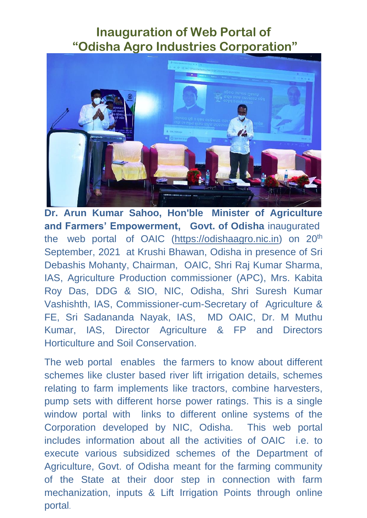## **Inauguration of Web Portal of "Odisha Agro Industries Corporation"**



**Dr. Arun Kumar Sahoo, Hon'ble Minister of Agriculture and Farmers' Empowerment, Govt. of Odisha** inaugurated the web portal of OAIC [\(https://odishaagro.nic.in\)](https://odishaagro.nic.in/) on 20<sup>th</sup> September, 2021 at Krushi Bhawan, Odisha in presence of Sri Debashis Mohanty, Chairman, OAIC, Shri Raj Kumar Sharma, IAS, Agriculture Production commissioner (APC), Mrs. Kabita Roy Das, DDG & SIO, NIC, Odisha, Shri Suresh Kumar Vashishth, IAS, Commissioner-cum-Secretary of Agriculture & FE, Sri Sadananda Nayak, IAS, MD OAIC, Dr. M Muthu Kumar, IAS, Director Agriculture & FP and Directors Horticulture and Soil Conservation.

The web portal enables the farmers to know about different schemes like cluster based river lift irrigation details, schemes relating to farm implements like tractors, combine harvesters, pump sets with different horse power ratings. This is a single window portal with links to different online systems of the Corporation developed by NIC, Odisha. This web portal includes information about all the activities of OAIC i.e. to execute various subsidized schemes of the Department of Agriculture, Govt. of Odisha meant for the farming community of the State at their door step in connection with farm mechanization, inputs & Lift Irrigation Points through online portal.